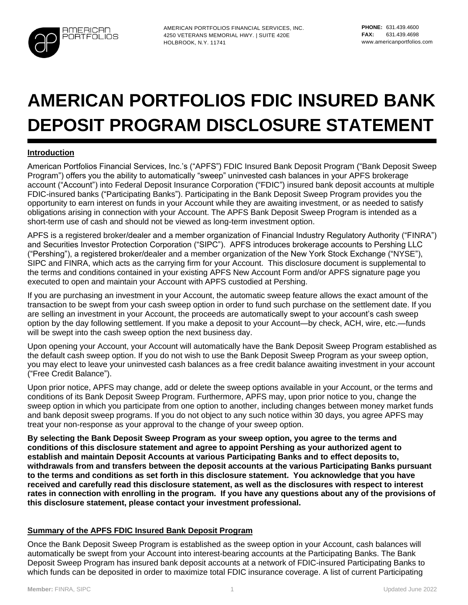

AMERICAN PORTFOLIOS FINANCIAL SERVICES, INC. 4250 VETERANS MEMORIAL HWY. | SUITE 420E HOLBROOK, N.Y. 11741

# **AMERICAN PORTFOLIOS FDIC INSURED BANK DEPOSIT PROGRAM DISCLOSURE STATEMENT**

## **Introduction**

American Portfolios Financial Services, Inc.'s ("APFS") FDIC Insured Bank Deposit Program ("Bank Deposit Sweep Program") offers you the ability to automatically "sweep" uninvested cash balances in your APFS brokerage account ("Account") into Federal Deposit Insurance Corporation ("FDIC") insured bank deposit accounts at multiple FDIC-insured banks ("Participating Banks"). Participating in the Bank Deposit Sweep Program provides you the opportunity to earn interest on funds in your Account while they are awaiting investment, or as needed to satisfy obligations arising in connection with your Account. The APFS Bank Deposit Sweep Program is intended as a short-term use of cash and should not be viewed as long-term investment option.

APFS is a registered broker/dealer and a member organization of Financial Industry Regulatory Authority ("FINRA") and Securities Investor Protection Corporation ("SIPC"). APFS introduces brokerage accounts to Pershing LLC ("Pershing"), a registered broker/dealer and a member organization of the New York Stock Exchange ("NYSE"), SIPC and FINRA, which acts as the carrying firm for your Account. This disclosure document is supplemental to the terms and conditions contained in your existing APFS New Account Form and/or APFS signature page you executed to open and maintain your Account with APFS custodied at Pershing.

If you are purchasing an investment in your Account, the automatic sweep feature allows the exact amount of the transaction to be swept from your cash sweep option in order to fund such purchase on the settlement date. If you are selling an investment in your Account, the proceeds are automatically swept to your account's cash sweep option by the day following settlement. If you make a deposit to your Account—by check, ACH, wire, etc.—funds will be swept into the cash sweep option the next business day.

Upon opening your Account, your Account will automatically have the Bank Deposit Sweep Program established as the default cash sweep option. If you do not wish to use the Bank Deposit Sweep Program as your sweep option, you may elect to leave your uninvested cash balances as a free credit balance awaiting investment in your account ("Free Credit Balance").

Upon prior notice, APFS may change, add or delete the sweep options available in your Account, or the terms and conditions of its Bank Deposit Sweep Program. Furthermore, APFS may, upon prior notice to you, change the sweep option in which you participate from one option to another, including changes between money market funds and bank deposit sweep programs. If you do not object to any such notice within 30 days, you agree APFS may treat your non-response as your approval to the change of your sweep option.

**By selecting the Bank Deposit Sweep Program as your sweep option, you agree to the terms and conditions of this disclosure statement and agree to appoint Pershing as your authorized agent to establish and maintain Deposit Accounts at various Participating Banks and to effect deposits to, withdrawals from and transfers between the deposit accounts at the various Participating Banks pursuant to the terms and conditions as set forth in this disclosure statement. You acknowledge that you have received and carefully read this disclosure statement, as well as the disclosures with respect to interest rates in connection with enrolling in the program. If you have any questions about any of the provisions of this disclosure statement, please contact your investment professional.**

#### **Summary of the APFS FDIC Insured Bank Deposit Program**

Once the Bank Deposit Sweep Program is established as the sweep option in your Account, cash balances will automatically be swept from your Account into interest-bearing accounts at the Participating Banks. The Bank Deposit Sweep Program has insured bank deposit accounts at a network of FDIC-insured Participating Banks to which funds can be deposited in order to maximize total FDIC insurance coverage. A list of current Participating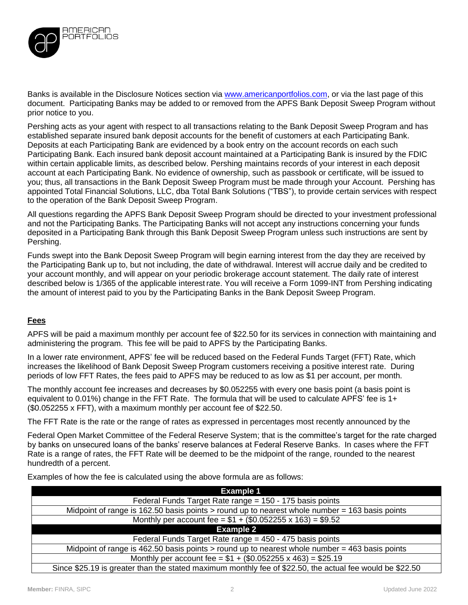

Banks is available in the Disclosure Notices section via [www.americanportfolios.com,](http://www.americanportfolios.com/) or via the last page of this document. Participating Banks may be added to or removed from the APFS Bank Deposit Sweep Program without prior notice to you.

Pershing acts as your agent with respect to all transactions relating to the Bank Deposit Sweep Program and has established separate insured bank deposit accounts for the benefit of customers at each Participating Bank. Deposits at each Participating Bank are evidenced by a book entry on the account records on each such Participating Bank. Each insured bank deposit account maintained at a Participating Bank is insured by the FDIC within certain applicable limits, as described below. Pershing maintains records of your interest in each deposit account at each Participating Bank. No evidence of ownership, such as passbook or certificate, will be issued to you; thus, all transactions in the Bank Deposit Sweep Program must be made through your Account. Pershing has appointed Total Financial Solutions, LLC, dba Total Bank Solutions ("TBS"), to provide certain services with respect to the operation of the Bank Deposit Sweep Program.

All questions regarding the APFS Bank Deposit Sweep Program should be directed to your investment professional and not the Participating Banks. The Participating Banks will not accept any instructions concerning your funds deposited in a Participating Bank through this Bank Deposit Sweep Program unless such instructions are sent by Pershing.

Funds swept into the Bank Deposit Sweep Program will begin earning interest from the day they are received by the Participating Bank up to, but not including, the date of withdrawal. Interest will accrue daily and be credited to your account monthly, and will appear on your periodic brokerage account statement. The daily rate of interest described below is 1/365 of the applicable interestrate. You will receive a Form 1099-INT from Pershing indicating the amount of interest paid to you by the Participating Banks in the Bank Deposit Sweep Program.

#### **Fees**

APFS will be paid a maximum monthly per account fee of \$22.50 for its services in connection with maintaining and administering the program. This fee will be paid to APFS by the Participating Banks.

In a lower rate environment, APFS' fee will be reduced based on the Federal Funds Target (FFT) Rate, which increases the likelihood of Bank Deposit Sweep Program customers receiving a positive interest rate. During periods of low FFT Rates, the fees paid to APFS may be reduced to as low as \$1 per account, per month.

The monthly account fee increases and decreases by \$0.052255 with every one basis point (a basis point is equivalent to 0.01%) change in the FFT Rate. The formula that will be used to calculate APFS' fee is 1+ (\$0.052255 x FFT), with a maximum monthly per account fee of \$22.50.

The FFT Rate is the rate or the range of rates as expressed in percentages most recently announced by the

Federal Open Market Committee of the Federal Reserve System; that is the committee's target for the rate charged by banks on unsecured loans of the banks' reserve balances at Federal Reserve Banks. In cases where the FFT Rate is a range of rates, the FFT Rate will be deemed to be the midpoint of the range, rounded to the nearest hundredth of a percent.

Examples of how the fee is calculated using the above formula are as follows:

| <b>Example 1</b>                                                                                         |  |  |
|----------------------------------------------------------------------------------------------------------|--|--|
| Federal Funds Target Rate range = 150 - 175 basis points                                                 |  |  |
| Midpoint of range is 162.50 basis points > round up to nearest whole number = 163 basis points           |  |  |
| Monthly per account fee = $$1 + ($0.052255 \times 163) = $9.52$                                          |  |  |
| <b>Example 2</b>                                                                                         |  |  |
| Federal Funds Target Rate range = 450 - 475 basis points                                                 |  |  |
| Midpoint of range is 462.50 basis points $>$ round up to nearest whole number = 463 basis points         |  |  |
| Monthly per account fee = $$1 + ($0.052255 \times 463) = $25.19$                                         |  |  |
| Since \$25.19 is greater than the stated maximum monthly fee of \$22.50, the actual fee would be \$22.50 |  |  |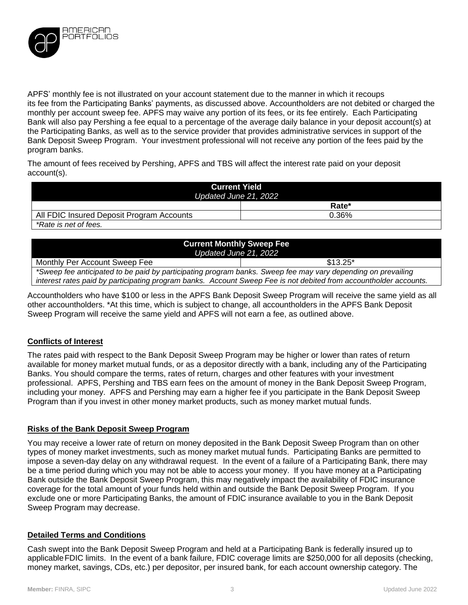

APFS' monthly fee is not illustrated on your account statement due to the manner in which it recoups its fee from the Participating Banks' payments, as discussed above. Accountholders are not debited or charged the monthly per account sweep fee. APFS may waive any portion of its fees, or its fee entirely. Each Participating Bank will also pay Pershing a fee equal to a percentage of the average daily balance in your deposit account(s) at the Participating Banks, as well as to the service provider that provides administrative services in support of the Bank Deposit Sweep Program. Your investment professional will not receive any portion of the fees paid by the program banks.

The amount of fees received by Pershing, APFS and TBS will affect the interest rate paid on your deposit account(s).

| <b>Current Yield</b><br>Updated June 21, 2022 |       |  |
|-----------------------------------------------|-------|--|
|                                               | Rate* |  |
| All FDIC Insured Deposit Program Accounts     | 0.36% |  |
| *Rate is net of fees.                         |       |  |

| <b>Current Monthly Sweep Fee</b><br>Updated June 21, 2022                                                                                                                                                                         |            |  |
|-----------------------------------------------------------------------------------------------------------------------------------------------------------------------------------------------------------------------------------|------------|--|
| Monthly Per Account Sweep Fee                                                                                                                                                                                                     | $$13.25^*$ |  |
| *Sweep fee anticipated to be paid by participating program banks. Sweep fee may vary depending on prevailing<br>interest rates paid by participating program banks. Account Sweep Fee is not debited from accountholder accounts. |            |  |

Accountholders who have \$100 or less in the APFS Bank Deposit Sweep Program will receive the same yield as all other accountholders. \*At this time, which is subject to change, all accountholders in the APFS Bank Deposit Sweep Program will receive the same yield and APFS will not earn a fee, as outlined above.

#### **Conflicts of Interest**

The rates paid with respect to the Bank Deposit Sweep Program may be higher or lower than rates of return available for money market mutual funds, or as a depositor directly with a bank, including any of the Participating Banks. You should compare the terms, rates of return, charges and other features with your investment professional. APFS, Pershing and TBS earn fees on the amount of money in the Bank Deposit Sweep Program, including your money. APFS and Pershing may earn a higher fee if you participate in the Bank Deposit Sweep Program than if you invest in other money market products, such as money market mutual funds.

#### **Risks of the Bank Deposit Sweep Program**

You may receive a lower rate of return on money deposited in the Bank Deposit Sweep Program than on other types of money market investments, such as money market mutual funds. Participating Banks are permitted to impose a seven-day delay on any withdrawal request. In the event of a failure of a Participating Bank, there may be a time period during which you may not be able to access your money. If you have money at a Participating Bank outside the Bank Deposit Sweep Program, this may negatively impact the availability of FDIC insurance coverage for the total amount of your funds held within and outside the Bank Deposit Sweep Program. If you exclude one or more Participating Banks, the amount of FDIC insurance available to you in the Bank Deposit Sweep Program may decrease.

#### **Detailed Terms and Conditions**

Cash swept into the Bank Deposit Sweep Program and held at a Participating Bank is federally insured up to applicableFDIC limits. In the event of a bank failure, FDIC coverage limits are \$250,000 for all deposits (checking, money market, savings, CDs, etc.) per depositor, per insured bank, for each account ownership category. The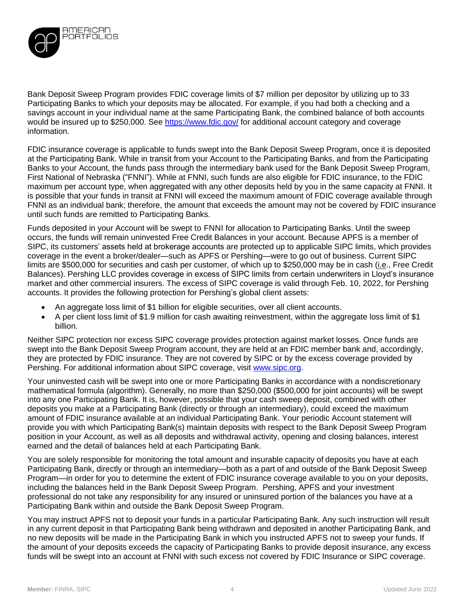

Bank Deposit Sweep Program provides FDIC coverage limits of \$7 million per depositor by utilizing up to 33 Participating Banks to which your deposits may be allocated. For example, if you had both a checking and a savings account in your individual name at the same Participating Bank, the combined balance of both accounts would be insured up to \$250,000. See<https://www.fdic.gov/> for additional account category and coverage information.

FDIC insurance coverage is applicable to funds swept into the Bank Deposit Sweep Program, once it is deposited at the Participating Bank. While in transit from your Account to the Participating Banks, and from the Participating Banks to your Account, the funds pass through the intermediary bank used for the Bank Deposit Sweep Program, First National of Nebraska ("FNNI"). While at FNNI, such funds are also eligible for FDIC insurance, to the FDIC maximum per account type, when aggregated with any other deposits held by you in the same capacity at FNNI. It is possible that your funds in transit at FNNI will exceed the maximum amount of FDIC coverage available through FNNI as an individual bank; therefore, the amount that exceeds the amount may not be covered by FDIC insurance until such funds are remitted to Participating Banks.

Funds deposited in your Account will be swept to FNNI for allocation to Participating Banks. Until the sweep occurs, the funds will remain uninvested Free Credit Balances in your account. Because APFS is a member of SIPC, its customers' assets held at brokerage accounts are protected up to applicable SIPC limits, which provides coverage in the event a broker/dealer—such as APFS or Pershing—were to go out of business. Current SIPC limits are \$500,000 for securities and cash per customer, of which up to \$250,000 may be in cash (i.e., Free Credit Balances). Pershing LLC provides coverage in excess of SIPC limits from certain underwriters in Lloyd's insurance market and other commercial insurers. The excess of SIPC coverage is valid through Feb. 10, 2022, for Pershing accounts. It provides the following protection for Pershing's global client assets:

- An aggregate loss limit of \$1 billion for eligible securities, over all client accounts.
- A per client loss limit of \$1.9 million for cash awaiting reinvestment, within the aggregate loss limit of \$1 billion.

Neither SIPC protection nor excess SIPC coverage provides protection against market losses. Once funds are swept into the Bank Deposit Sweep Program account, they are held at an FDIC member bank and, accordingly, they are protected by FDIC insurance. They are not covered by SIPC or by the excess coverage provided by Pershing. For additional information about SIPC coverage, visit [www.sipc.org.](http://www.sipc.org/)

Your uninvested cash will be swept into one or more Participating Banks in accordance with a nondiscretionary mathematical formula (algorithm). Generally, no more than \$250,000 (\$500,000 for joint accounts) will be swept into any one Participating Bank. It is, however, possible that your cash sweep deposit, combined with other deposits you make at a Participating Bank (directly or through an intermediary), could exceed the maximum amount of FDIC insurance available at an individual Participating Bank. Your periodic Account statement will provide you with which Participating Bank(s) maintain deposits with respect to the Bank Deposit Sweep Program position in your Account, as well as all deposits and withdrawal activity, opening and closing balances, interest earned and the detail of balances held at each Participating Bank.

You are solely responsible for monitoring the total amount and insurable capacity of deposits you have at each Participating Bank, directly or through an intermediary—both as a part of and outside of the Bank Deposit Sweep Program—in order for you to determine the extent of FDIC insurance coverage available to you on your deposits, including the balances held in the Bank Deposit Sweep Program. Pershing, APFS and your investment professional do not take any responsibility for any insured or uninsured portion of the balances you have at a Participating Bank within and outside the Bank Deposit Sweep Program.

You may instruct APFS not to deposit your funds in a particular Participating Bank. Any such instruction will result in any current deposit in that Participating Bank being withdrawn and deposited in another Participating Bank, and no new deposits will be made in the Participating Bank in which you instructed APFS not to sweep your funds. If the amount of your deposits exceeds the capacity of Participating Banks to provide deposit insurance, any excess funds will be swept into an account at FNNI with such excess not covered by FDIC Insurance or SIPC coverage.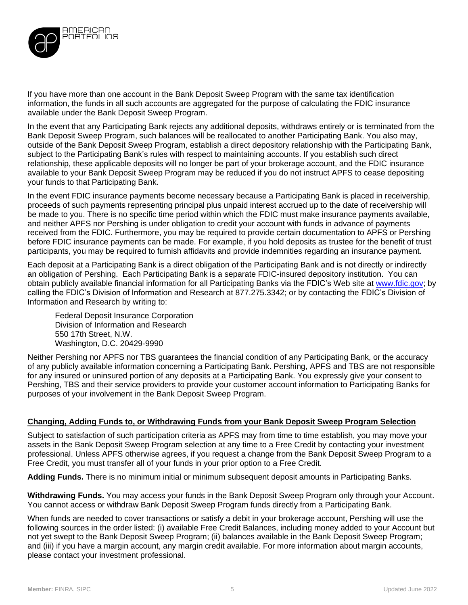

If you have more than one account in the Bank Deposit Sweep Program with the same tax identification information, the funds in all such accounts are aggregated for the purpose of calculating the FDIC insurance available under the Bank Deposit Sweep Program.

In the event that any Participating Bank rejects any additional deposits, withdraws entirely or is terminated from the Bank Deposit Sweep Program, such balances will be reallocated to another Participating Bank. You also may, outside of the Bank Deposit Sweep Program, establish a direct depository relationship with the Participating Bank, subject to the Participating Bank's rules with respect to maintaining accounts. If you establish such direct relationship, these applicable deposits will no longer be part of your brokerage account, and the FDIC insurance available to your Bank Deposit Sweep Program may be reduced if you do not instruct APFS to cease depositing your funds to that Participating Bank.

In the event FDIC insurance payments become necessary because a Participating Bank is placed in receivership, proceeds of such payments representing principal plus unpaid interest accrued up to the date of receivership will be made to you. There is no specific time period within which the FDIC must make insurance payments available, and neither APFS nor Pershing is under obligation to credit your account with funds in advance of payments received from the FDIC. Furthermore, you may be required to provide certain documentation to APFS or Pershing before FDIC insurance payments can be made. For example, if you hold deposits as trustee for the benefit of trust participants, you may be required to furnish affidavits and provide indemnities regarding an insurance payment.

Each deposit at a Participating Bank is a direct obligation of the Participating Bank and is not directly or indirectly an obligation of Pershing. Each Participating Bank is a separate FDIC-insured depository institution. You can obtain publicly available financial information for all Participating Banks via the FDIC's Web site at [www.fdic.gov;](http://www.fdic.gov/) by calling the FDIC's Division of Information and Research at 877.275.3342; or by contacting the FDIC's Division of Information and Research by writing to:

Federal Deposit Insurance Corporation Division of Information and Research 550 17th Street, N.W. Washington, D.C. 20429-9990

Neither Pershing nor APFS nor TBS guarantees the financial condition of any Participating Bank, or the accuracy of any publicly available information concerning a Participating Bank. Pershing, APFS and TBS are not responsible for any insured or uninsured portion of any deposits at a Participating Bank. You expressly give your consent to Pershing, TBS and their service providers to provide your customer account information to Participating Banks for purposes of your involvement in the Bank Deposit Sweep Program.

#### **Changing, Adding Funds to, or Withdrawing Funds from your Bank Deposit Sweep Program Selection**

Subject to satisfaction of such participation criteria as APFS may from time to time establish, you may move your assets in the Bank Deposit Sweep Program selection at any time to a Free Credit by contacting your investment professional. Unless APFS otherwise agrees, if you request a change from the Bank Deposit Sweep Program to a Free Credit, you must transfer all of your funds in your prior option to a Free Credit.

**Adding Funds.** There is no minimum initial or minimum subsequent deposit amounts in Participating Banks.

**Withdrawing Funds.** You may access your funds in the Bank Deposit Sweep Program only through your Account. You cannot access or withdraw Bank Deposit Sweep Program funds directly from a Participating Bank.

When funds are needed to cover transactions or satisfy a debit in your brokerage account, Pershing will use the following sources in the order listed: (i) available Free Credit Balances, including money added to your Account but not yet swept to the Bank Deposit Sweep Program; (ii) balances available in the Bank Deposit Sweep Program; and (iii) if you have a margin account, any margin credit available. For more information about margin accounts, please contact your investment professional.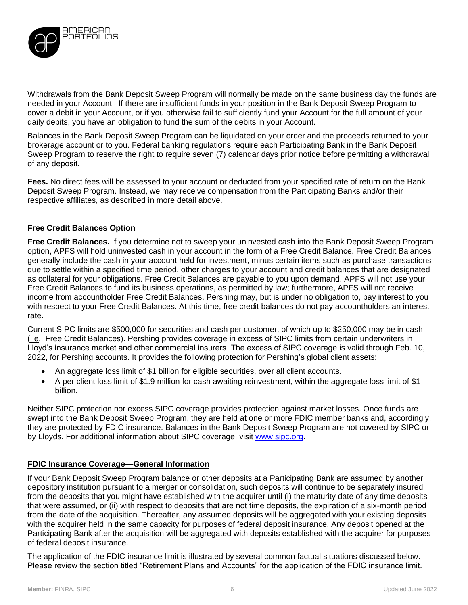

Withdrawals from the Bank Deposit Sweep Program will normally be made on the same business day the funds are needed in your Account. If there are insufficient funds in your position in the Bank Deposit Sweep Program to cover a debit in your Account, or if you otherwise fail to sufficiently fund your Account for the full amount of your daily debits, you have an obligation to fund the sum of the debits in your Account.

Balances in the Bank Deposit Sweep Program can be liquidated on your order and the proceeds returned to your brokerage account or to you. Federal banking regulations require each Participating Bank in the Bank Deposit Sweep Program to reserve the right to require seven (7) calendar days prior notice before permitting a withdrawal of any deposit.

**Fees.** No direct fees will be assessed to your account or deducted from your specified rate of return on the Bank Deposit Sweep Program. Instead, we may receive compensation from the Participating Banks and/or their respective affiliates, as described in more detail above.

## **Free Credit Balances Option**

**Free Credit Balances.** If you determine not to sweep your uninvested cash into the Bank Deposit Sweep Program option, APFS will hold uninvested cash in your account in the form of a Free Credit Balance. Free Credit Balances generally include the cash in your account held for investment, minus certain items such as purchase transactions due to settle within a specified time period, other charges to your account and credit balances that are designated as collateral for your obligations. Free Credit Balances are payable to you upon demand. APFS will not use your Free Credit Balances to fund its business operations, as permitted by law; furthermore, APFS will not receive income from accountholder Free Credit Balances. Pershing may, but is under no obligation to, pay interest to you with respect to your Free Credit Balances. At this time, free credit balances do not pay accountholders an interest rate.

Current SIPC limits are \$500,000 for securities and cash per customer, of which up to \$250,000 may be in cash (i.e., Free Credit Balances). Pershing provides coverage in excess of SIPC limits from certain underwriters in Lloyd's insurance market and other commercial insurers. The excess of SIPC coverage is valid through Feb. 10, 2022, for Pershing accounts. It provides the following protection for Pershing's global client assets:

- An aggregate loss limit of \$1 billion for eligible securities, over all client accounts.
- A per client loss limit of \$1.9 million for cash awaiting reinvestment, within the aggregate loss limit of \$1 billion.

Neither SIPC protection nor excess SIPC coverage provides protection against market losses. Once funds are swept into the Bank Deposit Sweep Program, they are held at one or more FDIC member banks and, accordingly, they are protected by FDIC insurance. Balances in the Bank Deposit Sweep Program are not covered by SIPC or by Lloyds. For additional information about SIPC coverage, visit [www.sipc.org.](http://www.sipc.org/)

#### **FDIC Insurance Coverage—General Information**

If your Bank Deposit Sweep Program balance or other deposits at a Participating Bank are assumed by another depository institution pursuant to a merger or consolidation, such deposits will continue to be separately insured from the deposits that you might have established with the acquirer until (i) the maturity date of any time deposits that were assumed, or (ii) with respect to deposits that are not time deposits, the expiration of a six-month period from the date of the acquisition. Thereafter, any assumed deposits will be aggregated with your existing deposits with the acquirer held in the same capacity for purposes of federal deposit insurance. Any deposit opened at the Participating Bank after the acquisition will be aggregated with deposits established with the acquirer for purposes of federal deposit insurance.

The application of the FDIC insurance limit is illustrated by several common factual situations discussed below. Please review the section titled "Retirement Plans and Accounts" for the application of the FDIC insurance limit.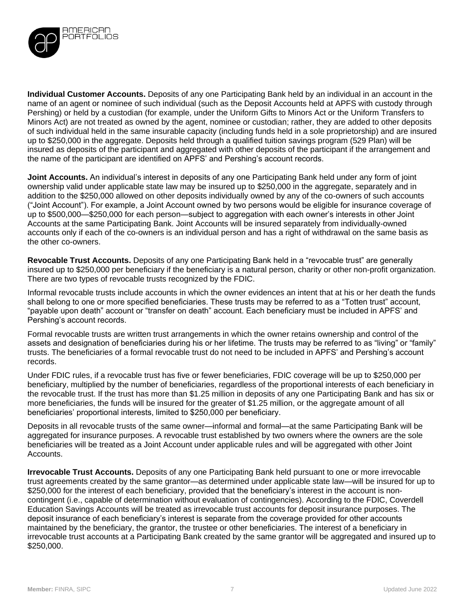

**Individual Customer Accounts.** Deposits of any one Participating Bank held by an individual in an account in the name of an agent or nominee of such individual (such as the Deposit Accounts held at APFS with custody through Pershing) or held by a custodian (for example, under the Uniform Gifts to Minors Act or the Uniform Transfers to Minors Act) are not treated as owned by the agent, nominee or custodian; rather, they are added to other deposits of such individual held in the same insurable capacity (including funds held in a sole proprietorship) and are insured up to \$250,000 in the aggregate. Deposits held through a qualified tuition savings program (529 Plan) will be insured as deposits of the participant and aggregated with other deposits of the participant if the arrangement and the name of the participant are identified on APFS' and Pershing's account records.

**Joint Accounts.** An individual's interest in deposits of any one Participating Bank held under any form of joint ownership valid under applicable state law may be insured up to \$250,000 in the aggregate, separately and in addition to the \$250,000 allowed on other deposits individually owned by any of the co-owners of such accounts ("Joint Account"). For example, a Joint Account owned by two persons would be eligible for insurance coverage of up to \$500,000—\$250,000 for each person—subject to aggregation with each owner's interests in other Joint Accounts at the same Participating Bank. Joint Accounts will be insured separately from individually-owned accounts only if each of the co-owners is an individual person and has a right of withdrawal on the same basis as the other co-owners.

**Revocable Trust Accounts.** Deposits of any one Participating Bank held in a "revocable trust" are generally insured up to \$250,000 per beneficiary if the beneficiary is a natural person, charity or other non-profit organization. There are two types of revocable trusts recognized by the FDIC.

Informal revocable trusts include accounts in which the owner evidences an intent that at his or her death the funds shall belong to one or more specified beneficiaries. These trusts may be referred to as a "Totten trust" account, "payable upon death" account or "transfer on death" account. Each beneficiary must be included in APFS' and Pershing's account records.

Formal revocable trusts are written trust arrangements in which the owner retains ownership and control of the assets and designation of beneficiaries during his or her lifetime. The trusts may be referred to as "living" or "family" trusts. The beneficiaries of a formal revocable trust do not need to be included in APFS' and Pershing's account records.

Under FDIC rules, if a revocable trust has five or fewer beneficiaries, FDIC coverage will be up to \$250,000 per beneficiary, multiplied by the number of beneficiaries, regardless of the proportional interests of each beneficiary in the revocable trust. If the trust has more than \$1.25 million in deposits of any one Participating Bank and has six or more beneficiaries, the funds will be insured for the greater of \$1.25 million, or the aggregate amount of all beneficiaries' proportional interests, limited to \$250,000 per beneficiary.

Deposits in all revocable trusts of the same owner—informal and formal—at the same Participating Bank will be aggregated for insurance purposes. A revocable trust established by two owners where the owners are the sole beneficiaries will be treated as a Joint Account under applicable rules and will be aggregated with other Joint Accounts.

**Irrevocable Trust Accounts.** Deposits of any one Participating Bank held pursuant to one or more irrevocable trust agreements created by the same grantor—as determined under applicable state law—will be insured for up to \$250,000 for the interest of each beneficiary, provided that the beneficiary's interest in the account is noncontingent (i.e., capable of determination without evaluation of contingencies). According to the FDIC, Coverdell Education Savings Accounts will be treated as irrevocable trust accounts for deposit insurance purposes. The deposit insurance of each beneficiary's interest is separate from the coverage provided for other accounts maintained by the beneficiary, the grantor, the trustee or other beneficiaries. The interest of a beneficiary in irrevocable trust accounts at a Participating Bank created by the same grantor will be aggregated and insured up to \$250,000.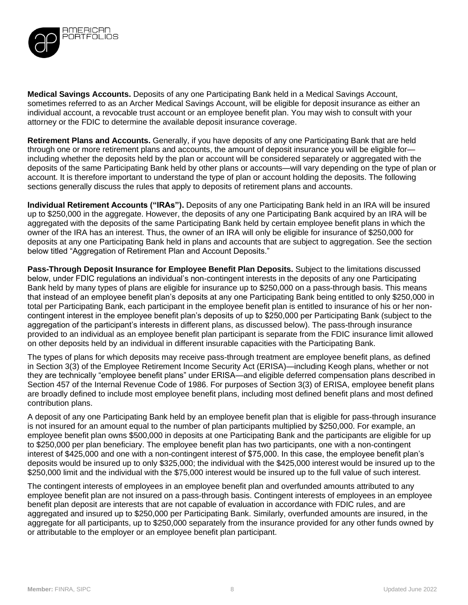

**Medical Savings Accounts.** Deposits of any one Participating Bank held in a Medical Savings Account, sometimes referred to as an Archer Medical Savings Account, will be eligible for deposit insurance as either an individual account, a revocable trust account or an employee benefit plan. You may wish to consult with your attorney or the FDIC to determine the available deposit insurance coverage.

**Retirement Plans and Accounts.** Generally, if you have deposits of any one Participating Bank that are held through one or more retirement plans and accounts, the amount of deposit insurance you will be eligible for including whether the deposits held by the plan or account will be considered separately or aggregated with the deposits of the same Participating Bank held by other plans or accounts—will vary depending on the type of plan or account. It is therefore important to understand the type of plan or account holding the deposits. The following sections generally discuss the rules that apply to deposits of retirement plans and accounts.

**Individual Retirement Accounts ("IRAs").** Deposits of any one Participating Bank held in an IRA will be insured up to \$250,000 in the aggregate. However, the deposits of any one Participating Bank acquired by an IRA will be aggregated with the deposits of the same Participating Bank held by certain employee benefit plans in which the owner of the IRA has an interest. Thus, the owner of an IRA will only be eligible for insurance of \$250,000 for deposits at any one Participating Bank held in plans and accounts that are subject to aggregation. See the section below titled "Aggregation of Retirement Plan and Account Deposits."

**Pass-Through Deposit Insurance for Employee Benefit Plan Deposits.** Subject to the limitations discussed below, under FDIC regulations an individual's non-contingent interests in the deposits of any one Participating Bank held by many types of plans are eligible for insurance up to \$250,000 on a pass-through basis. This means that instead of an employee benefit plan's deposits at any one Participating Bank being entitled to only \$250,000 in total per Participating Bank, each participant in the employee benefit plan is entitled to insurance of his or her noncontingent interest in the employee benefit plan's deposits of up to \$250,000 per Participating Bank (subject to the aggregation of the participant's interests in different plans, as discussed below). The pass-through insurance provided to an individual as an employee benefit plan participant is separate from the FDIC insurance limit allowed on other deposits held by an individual in different insurable capacities with the Participating Bank.

The types of plans for which deposits may receive pass-through treatment are employee benefit plans, as defined in Section 3(3) of the Employee Retirement Income Security Act (ERISA)—including Keogh plans, whether or not they are technically "employee benefit plans" under ERISA—and eligible deferred compensation plans described in Section 457 of the Internal Revenue Code of 1986. For purposes of Section 3(3) of ERISA, employee benefit plans are broadly defined to include most employee benefit plans, including most defined benefit plans and most defined contribution plans.

A deposit of any one Participating Bank held by an employee benefit plan that is eligible for pass-through insurance is not insured for an amount equal to the number of plan participants multiplied by \$250,000. For example, an employee benefit plan owns \$500,000 in deposits at one Participating Bank and the participants are eligible for up to \$250,000 per plan beneficiary. The employee benefit plan has two participants, one with a non-contingent interest of \$425,000 and one with a non-contingent interest of \$75,000. In this case, the employee benefit plan's deposits would be insured up to only \$325,000; the individual with the \$425,000 interest would be insured up to the \$250,000 limit and the individual with the \$75,000 interest would be insured up to the full value of such interest.

The contingent interests of employees in an employee benefit plan and overfunded amounts attributed to any employee benefit plan are not insured on a pass-through basis. Contingent interests of employees in an employee benefit plan deposit are interests that are not capable of evaluation in accordance with FDIC rules, and are aggregated and insured up to \$250,000 per Participating Bank. Similarly, overfunded amounts are insured, in the aggregate for all participants, up to \$250,000 separately from the insurance provided for any other funds owned by or attributable to the employer or an employee benefit plan participant.